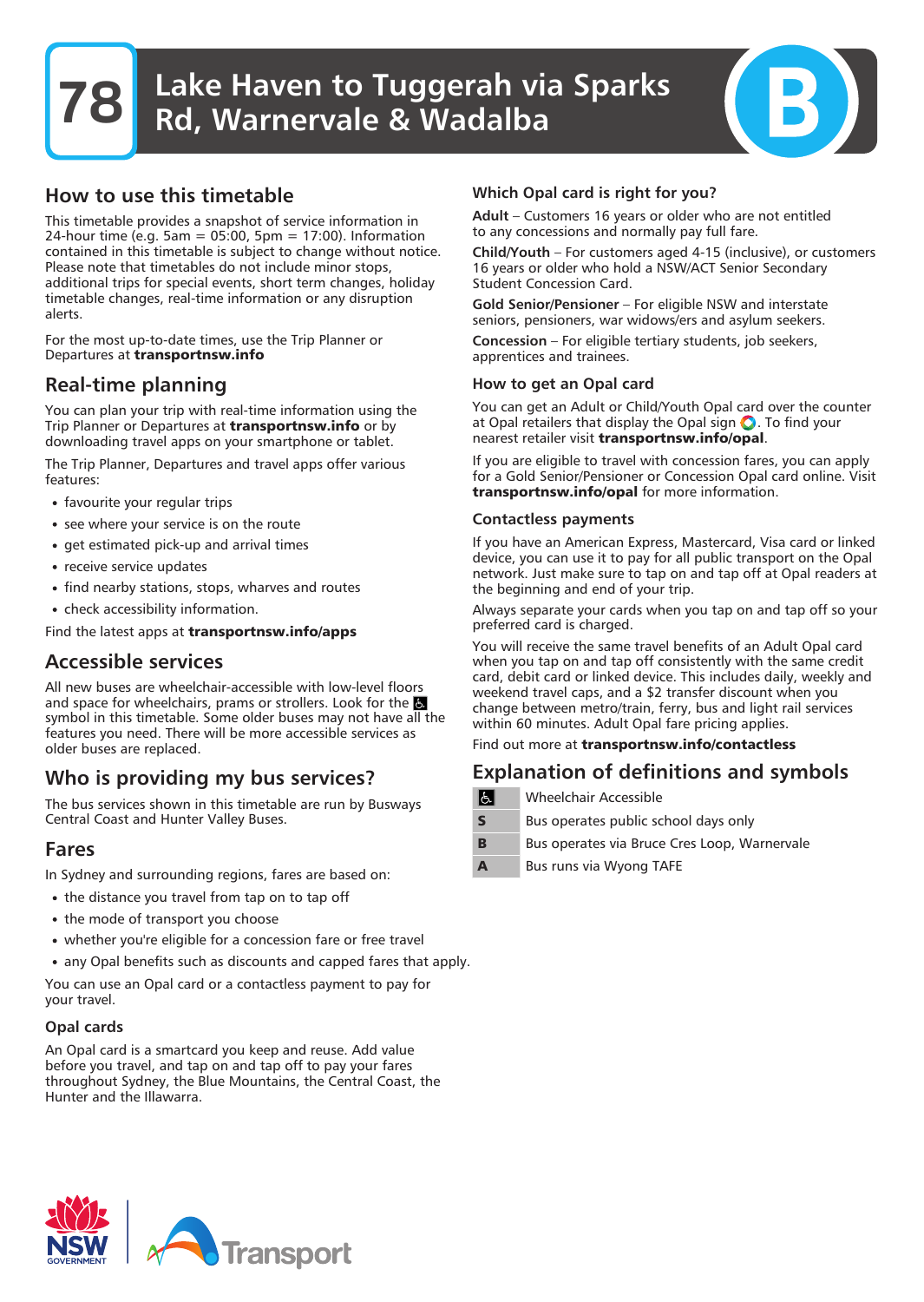## How to use this timetable

This timetable provides a snapshot of service information in 24-hour time (e.g. 5am = 05:00, 5pm = 17:00). Information contained in this timetable is subject to change without notice. Please note that timetables do not include minor stops, additional trips for special events, short term changes, holiday timetable changes, real-time information or any disruption alerts.

For the most up-to-date times, use the Trip Planner or Departures at **transportnsw.info**

# Real-time planning

You can plan your trip with real-time information using the Trip Planner or Departures at **transportnsw.info** or by downloading travel apps on your smartphone or tablet.

The Trip Planner, Departures and travel apps offer various features:

- favourite your regular trips
- see where your service is on the route
- get estimated pick-up and arrival times
- receive service updates
- find nearby stations, stops, wharves and routes
- check accessibility information.

Find the latest apps at **transportnsw.info/apps**

## Accessible services

All new buses are wheelchair-accessible with low-level floors and space for wheelchairs, prams or strollers. Look for the symbol in this timetable. Some older buses may not have all the features you need. There will be more accessible services as older buses are replaced.

# Who is providing my bus services?

The bus services shown in this timetable are run by Busways Central Coast and Hunter Valley Buses.

## Fares

In Sydney and surrounding regions, fares are based on:

- the distance you travel from tap on to tap off
- the mode of transport you choose
- whether you're eligible for a concession fare or free travel
- any Opal benefits such as discounts and capped fares that apply.

You can use an Opal card or a contactless payment to pay for your travel.

#### Opal cards

An Opal card is a smartcard you keep and reuse. Add value before you travel, and tap on and tap off to pay your fares throughout Sydney, the Blue Mountains, the Central Coast, the Hunter and the Illawarra.

#### Which Opal card is right for you?

Adult – Customers 16 years or older who are not entitled to any concessions and normally pay full fare.

Child/Youth – For customers aged 4-15 (inclusive), or customers 16 years or older who hold a NSW/ACT Senior Secondary Student Concession Card.

Gold Senior/Pensioner – For eligible NSW and interstate seniors, pensioners, war widows/ers and asylum seekers.

Concession – For eligible tertiary students, job seekers, apprentices and trainees.

#### How to get an Opal card

You can get an Adult or Child/Youth Opal card over the counter at Opal retailers that display the Opal sign  $\bigcirc$ . To find your nearest retailer visit **transportnsw.info/opal**.

If you are eligible to travel with concession fares, you can apply for a Gold Senior/Pensioner or Concession Opal card online. Visit **transportnsw.info/opal** for more information.

#### Contactless payments

If you have an American Express, Mastercard, Visa card or linked device, you can use it to pay for all public transport on the Opal network. Just make sure to tap on and tap off at Opal readers at the beginning and end of your trip.

Always separate your cards when you tap on and tap off so your preferred card is charged.

You will receive the same travel benefits of an Adult Opal card when you tap on and tap off consistently with the same credit card, debit card or linked device. This includes daily, weekly and weekend travel caps, and a \$2 transfer discount when you change between metro/train, ferry, bus and light rail services within 60 minutes. Adult Opal fare pricing applies.

Find out more at **transportnsw.info/contactless**

# Explanation of definitions and symbols

- $|G|$ Wheelchair Accessible
- **S** Bus operates public school days only
- **B** Bus operates via Bruce Cres Loop, Warnervale
- **A** Bus runs via Wyong TAFE

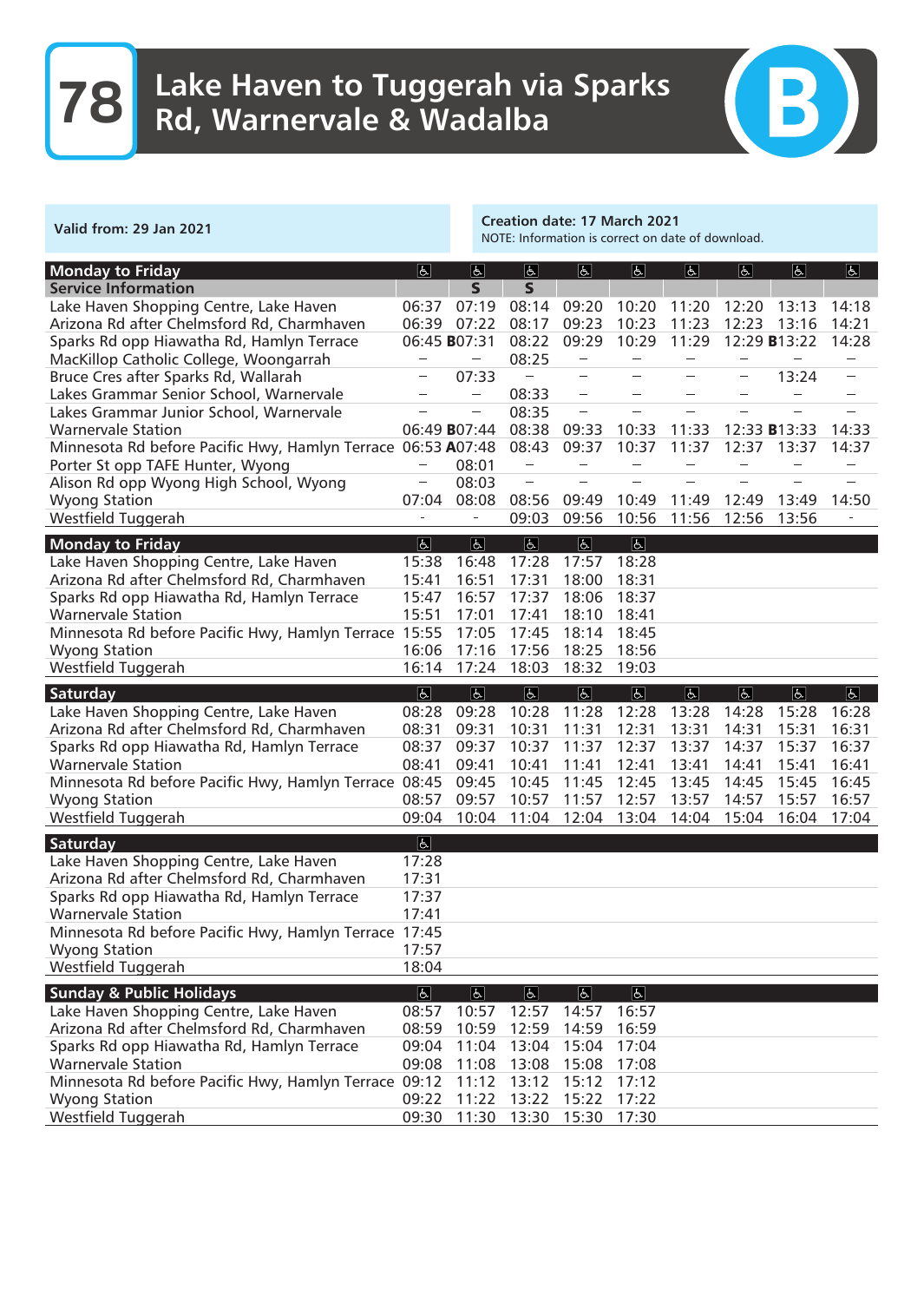

Creation date: 17 March 2021

NOTE: Information is correct on date of download.

| <b>Monday</b> to Friday                                      | $\overline{6}$            | $\overline{6}$           | $\overline{6}$           | $\overline{6}$           | E                        | $\overline{6}$           | $\overline{5}$           | $\overline{6}$       | $\overline{\mathbf{r}}$  |
|--------------------------------------------------------------|---------------------------|--------------------------|--------------------------|--------------------------|--------------------------|--------------------------|--------------------------|----------------------|--------------------------|
| <b>Service Information</b>                                   |                           | $\mathsf{S}$             | $\overline{\mathbf{S}}$  |                          |                          |                          |                          |                      |                          |
| Lake Haven Shopping Centre, Lake Haven                       | 06:37                     | 07:19                    | 08:14                    | 09:20                    | 10:20                    | 11:20                    | 12:20                    | 13:13                | 14:18                    |
| Arizona Rd after Chelmsford Rd, Charmhaven                   | 06:39                     | 07:22                    | 08:17                    | 09:23                    | 10:23                    | 11:23                    | 12:23                    | 13:16                | 14:21                    |
| Sparks Rd opp Hiawatha Rd, Hamlyn Terrace                    |                           | 06:45 B07:31             | 08:22                    | 09:29                    | 10:29                    | 11:29                    |                          | 12:29 <b>B</b> 13:22 | 14:28                    |
| MacKillop Catholic College, Woongarrah                       | $\overline{\phantom{a}}$  | $\overline{\phantom{a}}$ | 08:25                    | $\overline{\phantom{a}}$ | $\overline{\phantom{a}}$ | $\overline{\phantom{a}}$ | $\overline{\phantom{a}}$ |                      | $\sim$                   |
| Bruce Cres after Sparks Rd, Wallarah                         |                           | 07:33                    |                          | ÷,                       |                          |                          |                          | 13:24                | $\overline{\phantom{a}}$ |
| Lakes Grammar Senior School, Warnervale                      | $\sim$                    | $\overline{\phantom{a}}$ | 08:33                    | $\overline{\phantom{a}}$ |                          |                          |                          |                      |                          |
| Lakes Grammar Junior School, Warnervale                      |                           | $\overline{\phantom{a}}$ | 08:35                    | $\frac{1}{2}$            |                          |                          |                          |                      | L.                       |
| <b>Warnervale Station</b>                                    |                           | 06:49 B07:44             | 08:38                    | 09:33                    | 10:33                    | 11:33                    |                          | 12:33 <b>B</b> 13:33 | 14:33                    |
| Minnesota Rd before Pacific Hwy, Hamlyn Terrace 06:53 A07:48 |                           |                          | 08:43                    | 09:37                    | 10:37                    | 11:37                    | 12:37                    | 13:37                | 14:37                    |
| Porter St opp TAFE Hunter, Wyong                             |                           | 08:01                    | $\sim$                   |                          |                          |                          |                          |                      |                          |
| Alison Rd opp Wyong High School, Wyong                       | $\overline{\phantom{0}}$  | 08:03                    | $\overline{\phantom{a}}$ |                          |                          |                          |                          |                      |                          |
| <b>Wyong Station</b>                                         | 07:04                     | 08:08                    | 08:56                    | 09:49                    | 10:49                    | 11:49                    | 12:49                    | 13:49                | 14:50                    |
| Westfield Tuggerah                                           | $\overline{\phantom{a}}$  | $\overline{\phantom{a}}$ | 09:03                    | 09:56                    | 10:56                    | 11:56                    | 12:56                    | 13:56                |                          |
| <b>Monday to Friday</b>                                      | $\overline{ \mathbf{b} }$ | $\overline{b}$           | $\overline{G}$           | $\Delta$                 | $\overline{b}$           |                          |                          |                      |                          |
| Lake Haven Shopping Centre, Lake Haven                       | 15:38                     | 16:48                    | 17:28                    | 17:57                    | 18:28                    |                          |                          |                      |                          |
| Arizona Rd after Chelmsford Rd, Charmhaven                   | 15:41                     | 16:51                    | 17:31                    | 18:00                    | 18:31                    |                          |                          |                      |                          |
| Sparks Rd opp Hiawatha Rd, Hamlyn Terrace                    | 15:47                     | 16:57                    | 17:37                    | 18:06                    | 18:37                    |                          |                          |                      |                          |
| <b>Warnervale Station</b>                                    | 15:51                     | 17:01                    | 17:41                    | 18:10                    | 18:41                    |                          |                          |                      |                          |
| Minnesota Rd before Pacific Hwy, Hamlyn Terrace 15:55        |                           | 17:05                    | 17:45                    | 18:14                    | 18:45                    |                          |                          |                      |                          |
| <b>Wyong Station</b>                                         | 16:06                     | 17:16                    | 17:56                    | 18:25                    | 18:56                    |                          |                          |                      |                          |
| Westfield Tuggerah                                           | 16:14                     | 17:24                    | 18:03                    | 18:32                    | 19:03                    |                          |                          |                      |                          |
|                                                              | $\boxed{\mathbf{r}}$      | $\overline{6}$           | $\overline{b}$           | $\overline{P}$           | $\overline{d}$           |                          | $\overline{d}$           | $\boxed{6}$          | $\boxed{p}$              |
| Saturday<br>Lake Haven Shopping Centre, Lake Haven           | 08:28                     | 09:28                    | 10:28                    | 11:28                    | 12:28                    | $\boxed{b}$<br>13:28     | 14:28                    | 15:28                | 16:28                    |
| Arizona Rd after Chelmsford Rd, Charmhaven                   | 08:31                     | 09:31                    | 10:31                    | 11:31                    | 12:31                    | 13:31                    | 14:31                    | 15:31                | 16:31                    |
| Sparks Rd opp Hiawatha Rd, Hamlyn Terrace                    | 08:37                     | 09:37                    | 10:37                    | 11:37                    | 12:37                    | 13:37                    | 14:37                    | 15:37                | 16:37                    |
| <b>Warnervale Station</b>                                    | 08:41                     | 09:41                    | 10:41                    | 11:41                    | 12:41                    | 13:41                    | 14:41                    | 15:41                | 16:41                    |
| Minnesota Rd before Pacific Hwy, Hamlyn Terrace 08:45        |                           | 09:45                    | 10:45                    | 11:45                    | 12:45                    | 13:45                    | 14:45                    | 15:45                | 16:45                    |
| <b>Wyong Station</b>                                         | 08:57                     | 09:57                    | 10:57                    | 11:57                    | 12:57                    | 13:57                    | 14:57                    | 15:57                | 16:57                    |
| Westfield Tuggerah                                           | 09:04                     | 10:04                    | 11:04                    | 12:04                    | 13:04                    | 14:04                    | 15:04                    | 16:04                | 17:04                    |
|                                                              |                           |                          |                          |                          |                          |                          |                          |                      |                          |
| Saturday                                                     | $\boxed{d}$               |                          |                          |                          |                          |                          |                          |                      |                          |
| Lake Haven Shopping Centre, Lake Haven                       | 17:28                     |                          |                          |                          |                          |                          |                          |                      |                          |
| Arizona Rd after Chelmsford Rd, Charmhaven                   | 17:31                     |                          |                          |                          |                          |                          |                          |                      |                          |
| Sparks Rd opp Hiawatha Rd, Hamlyn Terrace                    | 17:37                     |                          |                          |                          |                          |                          |                          |                      |                          |
| <b>Warnervale Station</b>                                    | 17:41                     |                          |                          |                          |                          |                          |                          |                      |                          |
| Minnesota Rd before Pacific Hwy, Hamlyn Terrace 17:45        |                           |                          |                          |                          |                          |                          |                          |                      |                          |
| <b>Wyong Station</b>                                         | 17:57                     |                          |                          |                          |                          |                          |                          |                      |                          |
| Westfield Tuggerah                                           | 18:04                     |                          |                          |                          |                          |                          |                          |                      |                          |
| <b>Sunday &amp; Public Holidays</b>                          | $ \mathbf{F} $            | $\boxed{6}$              | P                        | F                        | $  \mathbf{P}  $         |                          |                          |                      |                          |
| Lake Haven Shopping Centre, Lake Haven                       | 08:57                     | 10:57                    | 12:57                    | 14:57                    | 16:57                    |                          |                          |                      |                          |
| Arizona Rd after Chelmsford Rd, Charmhaven                   | 08:59                     | 10:59                    | 12:59                    | 14:59                    | 16:59                    |                          |                          |                      |                          |
| Sparks Rd opp Hiawatha Rd, Hamlyn Terrace                    | 09:04                     | 11:04                    | 13:04                    | 15:04                    | 17:04                    |                          |                          |                      |                          |
| <b>Warnervale Station</b>                                    | 09:08                     | 11:08                    | 13:08                    | 15:08                    | 17:08                    |                          |                          |                      |                          |
| Minnesota Rd before Pacific Hwy, Hamlyn Terrace 09:12        |                           | 11:12                    | 13:12                    | 15:12                    | 17:12                    |                          |                          |                      |                          |
| <b>Wyong Station</b>                                         | 09:22                     | 11:22                    | 13:22                    | 15:22                    | 17:22                    |                          |                          |                      |                          |
| Westfield Tuggerah                                           | 09:30                     |                          | 11:30 13:30              | 15:30                    | 17:30                    |                          |                          |                      |                          |